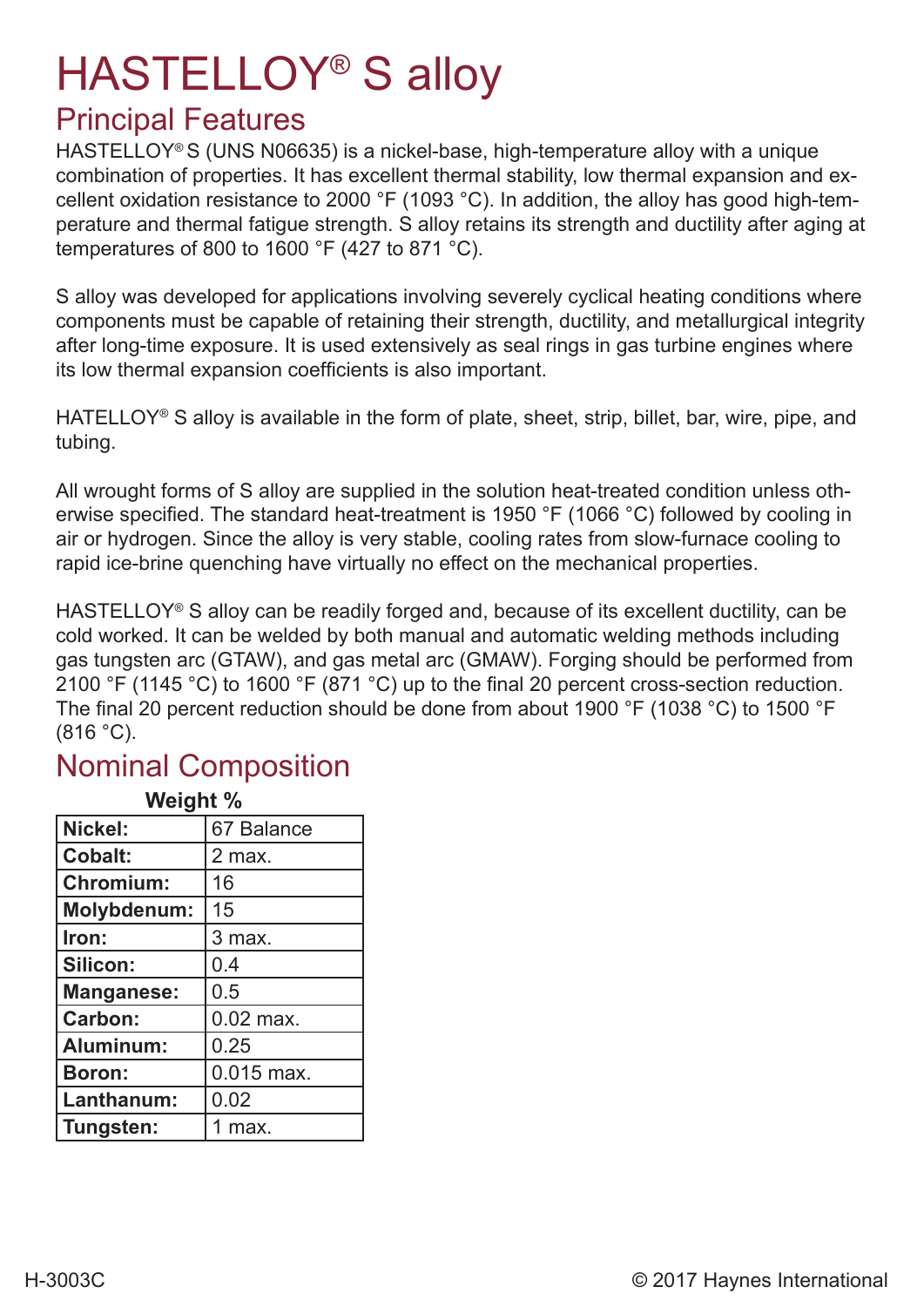# HASTELLOY® S alloy

## Principal Features

HASTELLOY® S (UNS N06635) is a nickel-base, high-temperature alloy with a unique combination of properties. It has excellent thermal stability, low thermal expansion and excellent oxidation resistance to 2000 °F (1093 °C). In addition, the alloy has good high-temperature and thermal fatigue strength. S alloy retains its strength and ductility after aging at temperatures of 800 to 1600 °F (427 to 871 °C).

S alloy was developed for applications involving severely cyclical heating conditions where components must be capable of retaining their strength, ductility, and metallurgical integrity after long-time exposure. It is used extensively as seal rings in gas turbine engines where its low thermal expansion coefficients is also important.

HATELLOY® S alloy is available in the form of plate, sheet, strip, billet, bar, wire, pipe, and tubing.

All wrought forms of S alloy are supplied in the solution heat-treated condition unless otherwise specified. The standard heat-treatment is 1950 °F (1066 °C) followed by cooling in air or hydrogen. Since the alloy is very stable, cooling rates from slow-furnace cooling to rapid ice-brine quenching have virtually no effect on the mechanical properties.

HASTELLOY<sup>®</sup> S alloy can be readily forged and, because of its excellent ductility, can be cold worked. It can be welded by both manual and automatic welding methods including gas tungsten arc (GTAW), and gas metal arc (GMAW). Forging should be performed from 2100 °F (1145 °C) to 1600 °F (871 °C) up to the final 20 percent cross-section reduction. The final 20 percent reduction should be done from about 1900 °F (1038 °C) to 1500 °F  $(816 °C)$ .

#### Nominal Composition

| Weight %           |              |  |  |  |
|--------------------|--------------|--|--|--|
| Nickel:            | 67 Balance   |  |  |  |
| <b>Cobalt:</b>     | 2 max.       |  |  |  |
| Chromium:          | 16           |  |  |  |
| <b>Molybdenum:</b> | 15           |  |  |  |
| Iron:              | 3 max.       |  |  |  |
| Silicon:           | 0.4          |  |  |  |
| <b>Manganese:</b>  | 0.5          |  |  |  |
| Carbon:            | $0.02$ max.  |  |  |  |
| Aluminum:          | 0.25         |  |  |  |
| <b>Boron:</b>      | $0.015$ max. |  |  |  |
| Lanthanum:         | 0.02         |  |  |  |
| Tungsten:          | 1 max.       |  |  |  |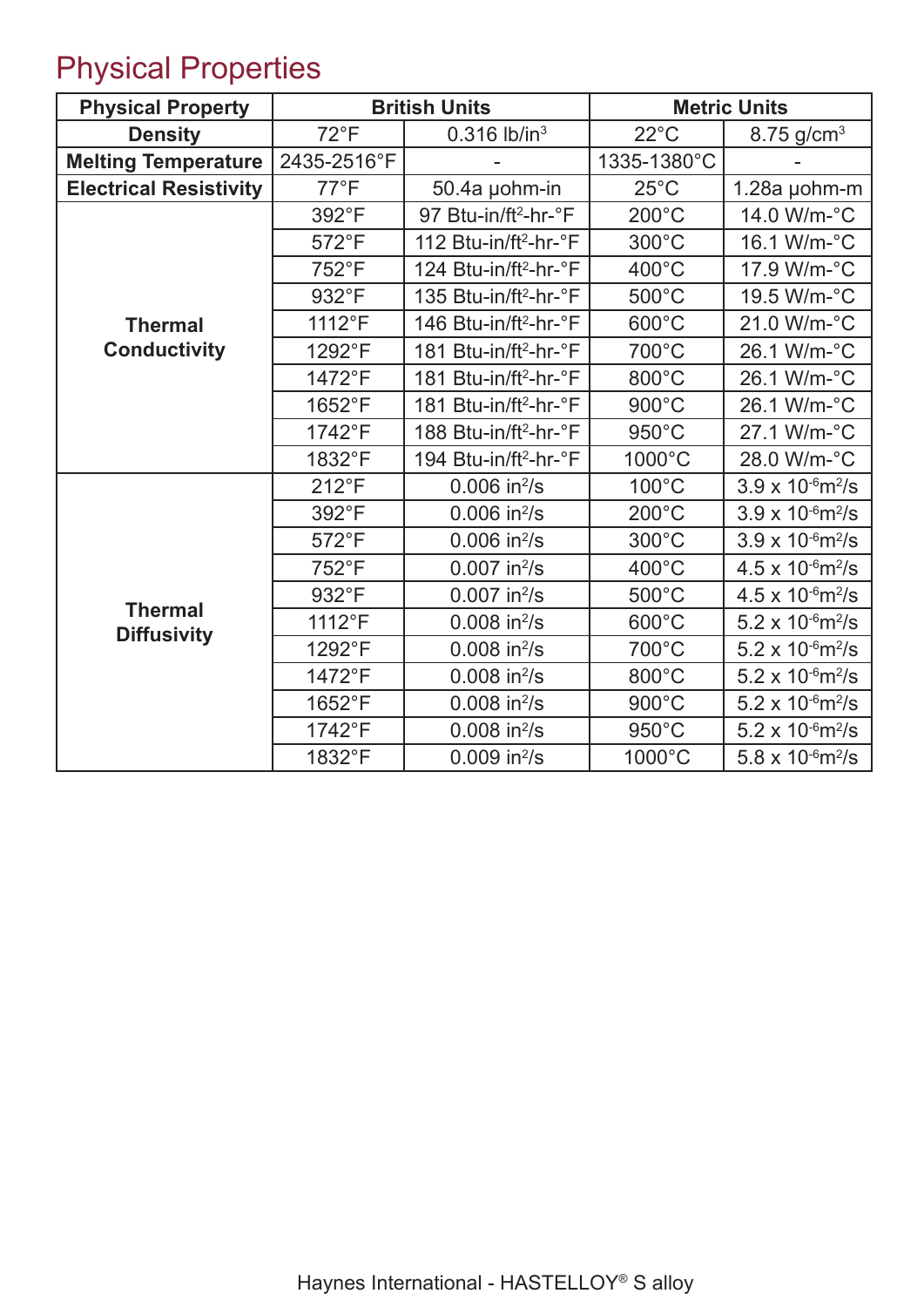## Physical Properties

| <b>Physical Property</b>      |                | <b>British Units</b>              | <b>Metric Units</b> |                                        |  |
|-------------------------------|----------------|-----------------------------------|---------------------|----------------------------------------|--|
| <b>Density</b>                | $72^{\circ}F$  | $0.316$ lb/in <sup>3</sup>        | $22^{\circ}$ C      | $8.75$ g/cm <sup>3</sup>               |  |
| <b>Melting Temperature</b>    | 2435-2516°F    |                                   | 1335-1380°C         |                                        |  |
| <b>Electrical Resistivity</b> | $77^{\circ}F$  | 50.4a µohm-in                     | $25^{\circ}$ C      | 1.28a µohm-m                           |  |
|                               | 392°F          | 97 Btu-in/ft <sup>2</sup> -hr-°F  | $200^{\circ}$ C     | 14.0 W/m-°C                            |  |
|                               | 572°F          | 112 Btu-in/ft <sup>2</sup> -hr-°F | 300°C               | 16.1 W/m-°C                            |  |
|                               | 752°F          | 124 Btu-in/ft <sup>2</sup> -hr-°F | 400°C               | 17.9 W/m-°C                            |  |
|                               | 932°F          | 135 Btu-in/ft <sup>2</sup> -hr-°F | 500°C               | 19.5 W/m-°C                            |  |
| <b>Thermal</b>                | 1112°F         | 146 Btu-in/ft <sup>2</sup> -hr-°F | 600°C               | 21.0 W/m-°C                            |  |
| <b>Conductivity</b>           | 1292°F         | 181 Btu-in/ft <sup>2</sup> -hr-°F | 700°C               | 26.1 W/m-°C                            |  |
|                               | 1472°F         | 181 Btu-in/ft <sup>2</sup> -hr-°F | 800°C               | 26.1 W/m-°C                            |  |
|                               | 1652°F         | 181 Btu-in/ft <sup>2</sup> -hr-°F | 900°C               | 26.1 W/m-°C                            |  |
|                               | 1742°F         | 188 Btu-in/ft <sup>2</sup> -hr-°F | 950°C               | 27.1 W/m-°C                            |  |
|                               | 1832°F         | 194 Btu-in/ft <sup>2</sup> -hr-°F | 1000°C              | 28.0 W/m-°C                            |  |
|                               | $212^{\circ}F$ | $0.006$ in $^{2}/s$               | $100^{\circ}$ C     | $3.9 \times 10^{-6}$ m <sup>2</sup> /s |  |
|                               | 392°F          | $0.006$ in $^{2}/s$               | $200^{\circ}$ C     | $3.9 \times 10^{-6}$ m <sup>2</sup> /s |  |
|                               | 572°F          | $0.006$ in $^{2}/s$               | 300°C               | $3.9 \times 10^{-6}$ m <sup>2</sup> /s |  |
|                               | 752°F          | $0.007$ in $^{2}/s$               | 400°C               | $4.5 \times 10^{-6}$ m <sup>2</sup> /s |  |
| <b>Thermal</b>                | 932°F          | $0.007$ in <sup>2</sup> /s        | 500°C               | $4.5 \times 10^{-6}$ m <sup>2</sup> /s |  |
| <b>Diffusivity</b>            | 1112°F         | $0.008$ in $^{2}/s$               | 600°C               | $5.2 \times 10^{-6}$ m <sup>2</sup> /s |  |
|                               | 1292°F         | $0.008$ in $^{2}/s$               | 700°C               | $5.2 \times 10^{-6}$ m <sup>2</sup> /s |  |
|                               | 1472°F         | $0.008$ in $^{2}/s$               | 800°C               | $5.2 \times 10^{-6}$ m <sup>2</sup> /s |  |
|                               | 1652°F         | $0.008$ in $^{2}/s$               | 900°C               | $5.2 \times 10^{-6}$ m <sup>2</sup> /s |  |
|                               | 1742°F         | $0.008$ in $^{2}/s$               | 950°C               | $5.2 \times 10^{-6}$ m <sup>2</sup> /s |  |
|                               | 1832°F         | $0.009$ in $^{2}/s$               | 1000°C              | 5.8 x $10^{-6}$ m <sup>2</sup> /s      |  |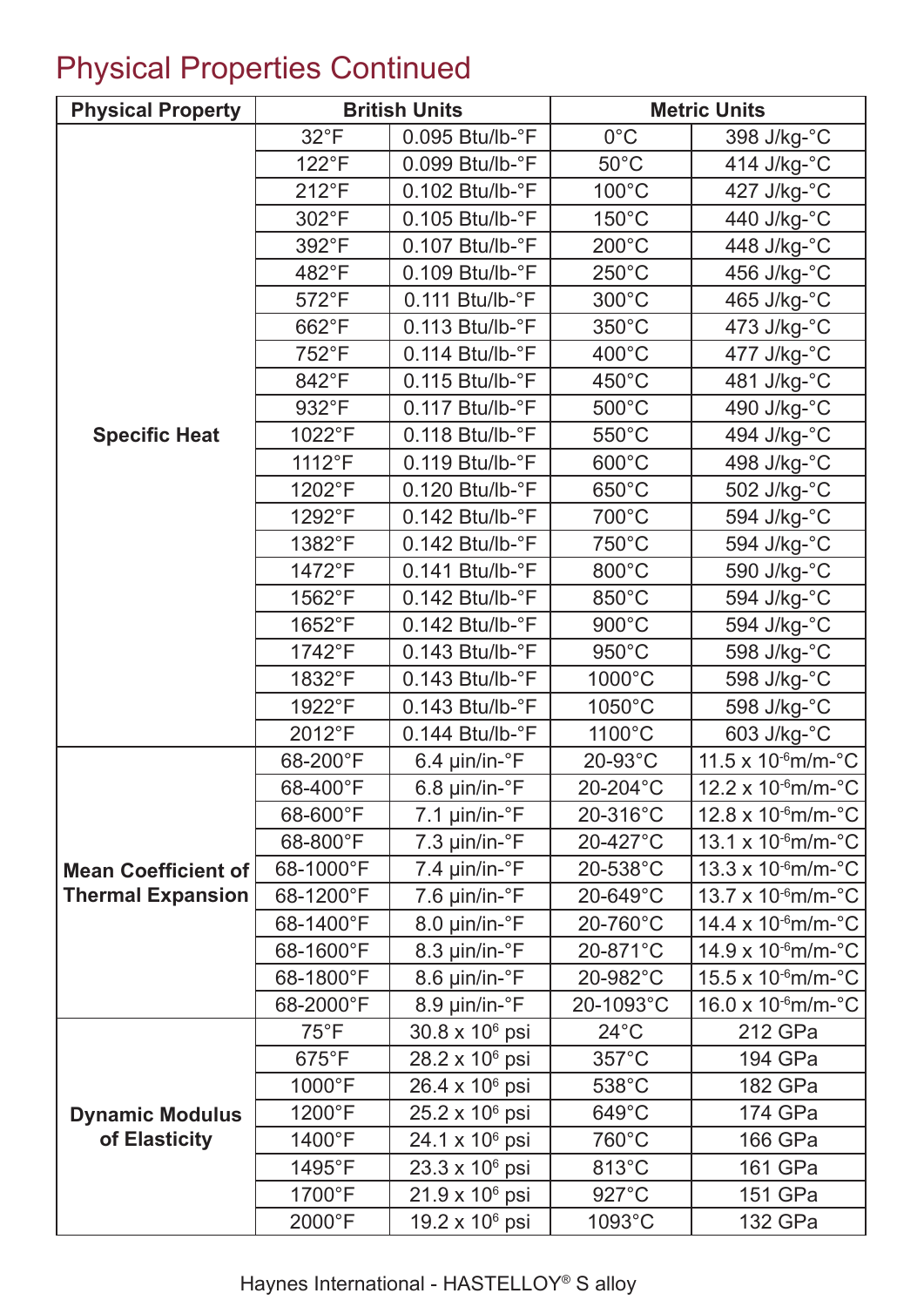## Physical Properties Continued

| <b>Physical Property</b>   |                | <b>British Units</b>         | <b>Metric Units</b> |                                                |  |
|----------------------------|----------------|------------------------------|---------------------|------------------------------------------------|--|
|                            | $32^{\circ}F$  | $0.095$ Btu/lb- $\degree$ F  | $0^{\circ}$ C       | 398 J/kg-°C                                    |  |
|                            | $122^{\circ}F$ | $0.099$ Btu/lb- $\degree$ F  | $50^{\circ}$ C      | 414 J/kg-°C                                    |  |
|                            | $212^{\circ}F$ | $0.102$ Btu/lb- $\degree$ F  | $100^{\circ}$ C     | 427 J/kg-°C                                    |  |
|                            | 302°F          | $0.105$ Btu/lb- $\degree$ F  | $150^{\circ}$ C     | 440 J/kg-°C                                    |  |
|                            | 392°F          | $0.107$ Btu/lb- $\degree$ F  | $200^{\circ}$ C     | 448 J/kg-°C                                    |  |
|                            | 482°F          | $0.109$ Btu/lb- $\degree$ F  | $250^{\circ}$ C     | 456 J/kg-°C                                    |  |
|                            | 572°F          | $0.111$ Btu/lb- $\degree$ F  | $300^{\circ}$ C     | 465 J/kg-°C                                    |  |
|                            | 662°F          | $0.113$ Btu/lb- $\degree$ F  | 350°C               | 473 J/kg-°C                                    |  |
|                            | 752°F          | $0.114$ Btu/lb- $\degree$ F  | 400°C               | 477 J/kg-°C                                    |  |
|                            | 842°F          | $0.115$ Btu/lb- $\degree$ F  | 450°C               | 481 J/kg-°C                                    |  |
|                            | 932°F          | $0.117$ Btu/lb- $\degree$ F  | $500^{\circ}$ C     | 490 J/kg-°C                                    |  |
| <b>Specific Heat</b>       | 1022°F         | $0.118$ Btu/lb- $\degree$ F  | 550°C               | 494 J/kg-°C                                    |  |
|                            | 1112°F         | $0.119$ Btu/lb- $\degree$ F  | 600°C               | 498 J/kg-°C                                    |  |
|                            | 1202°F         | $0.120$ Btu/lb- $\degree$ F  | 650°C               | 502 J/kg-°C                                    |  |
|                            | 1292°F         | $0.142$ Btu/lb- $\degree$ F  | 700°C               | 594 J/kg-°C                                    |  |
|                            | 1382°F         | $0.142$ Btu/lb- $\degree$ F  | 750°C               | 594 J/kg-°C                                    |  |
|                            | 1472°F         | $0.141$ Btu/lb- $\degree$ F  | 800°C               | 590 J/kg-°C                                    |  |
|                            | 1562°F         | $0.142$ Btu/lb- $\degree$ F  | 850°C               | 594 J/kg-°C                                    |  |
|                            | 1652°F         | $0.142$ Btu/lb- $\degree$ F  | $900^{\circ}$ C     | 594 J/kg-°C                                    |  |
|                            | 1742°F         | $0.143$ Btu/lb- $\degree$ F  | 950°C               | 598 J/kg-°C                                    |  |
|                            | 1832°F         | $0.143$ Btu/lb- $\degree$ F  | 1000°C              | 598 J/kg-°C                                    |  |
|                            | 1922°F         | $0.143$ Btu/lb- $\degree$ F  | 1050°C              | 598 J/kg-°C                                    |  |
|                            | 2012°F         | $0.144$ Btu/lb- $\degree$ F  | 1100°C              | 603 J/kg-°C                                    |  |
|                            | 68-200°F       | $6.4$ µin/in- $\degree$ F    | 20-93°C             | 11.5 x $10^{-6}$ m/m- $^{\circ}$ C             |  |
|                            | 68-400°F       | $6.8 \mu$ in/in- $\degree$ F | 20-204°C            | 12.2 x 10 $\cdot$ <sup>6</sup> m/m- $\cdot$ °C |  |
|                            | 68-600°F       | 7.1 $\mu$ in/in- $\degree$ F | 20-316°C            | 12.8 x 10 $\textdegree$ m/m- $\textdegree$ C   |  |
|                            | 68-800°F       | $7.3 \mu$ in/in- $\degree$ F | 20-427°C            | 13.1 x $10-6$ m/m- $^{\circ}$ C                |  |
| <b>Mean Coefficient of</b> | 68-1000°F      | $7.4 \mu$ in/in- $\degree$ F | 20-538°C            | $13.3 \times 10^{-6}$ m/m- $^{\circ}$ C        |  |
| <b>Thermal Expansion</b>   | 68-1200°F      | $7.6 \mu$ in/in- $\degree$ F | 20-649°C            | 13.7 x 10-6m/m-°C                              |  |
|                            | 68-1400°F      | 8.0 µin/in-°F                | 20-760°C            | $14.4 \times 10^{6}$ m/m- $^{\circ}$ C         |  |
|                            | 68-1600°F      | 8.3 µin/in-°F                | 20-871°C            | $14.9 \times 10^{6}$ m/m- $^{\circ}$ C         |  |
|                            | 68-1800°F      | 8.6 µin/in-°F                | 20-982°C            | 15.5 x 10-6m/m-°C                              |  |
|                            | 68-2000°F      | 8.9 µin/in-°F                | 20-1093°C           | $16.0 \times 10^{-6}$ m/m- $^{\circ}$ C        |  |
|                            | $75^{\circ}$ F | 30.8 x 10 <sup>6</sup> psi   | $24^{\circ}$ C      | 212 GPa                                        |  |
|                            | $675^{\circ}F$ | 28.2 x 10 <sup>6</sup> psi   | $357^{\circ}$ C     | 194 GPa                                        |  |
|                            | 1000°F         | $26.4 \times 10^6$ psi       | 538°C               | 182 GPa                                        |  |
| <b>Dynamic Modulus</b>     | 1200°F         | $25.2 \times 10^6$ psi       | 649°C               | 174 GPa                                        |  |
| of Elasticity              | 1400°F         | 24.1 x 10 <sup>6</sup> psi   | 760°C               | 166 GPa                                        |  |
|                            | 1495°F         | $23.3 \times 10^6$ psi       | 813°C               | 161 GPa                                        |  |
|                            | 1700°F         | $21.9 \times 10^6$ psi       | 927°C               | 151 GPa                                        |  |
|                            | 2000°F         | 19.2 x 10 <sup>6</sup> psi   | 1093°C              | 132 GPa                                        |  |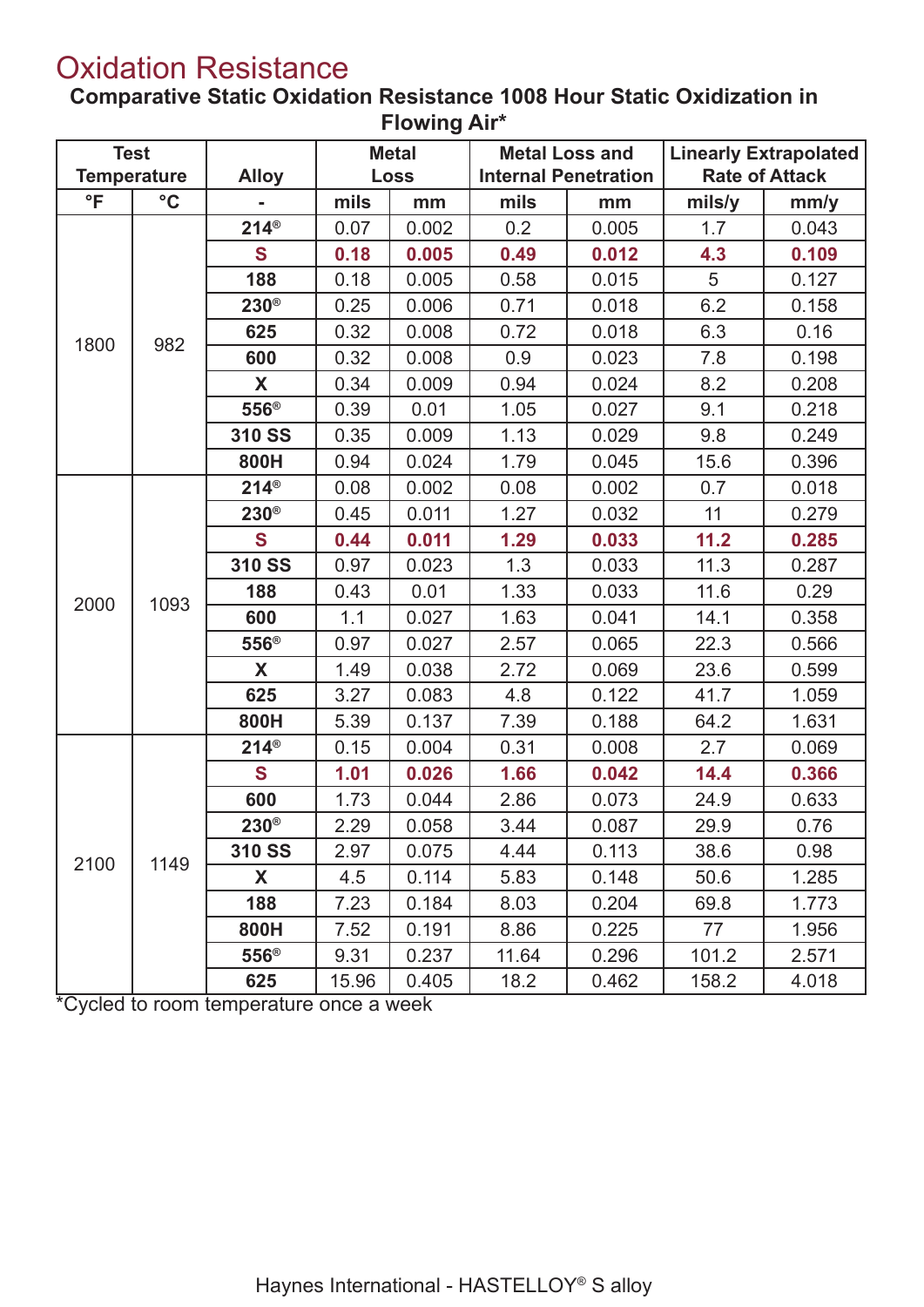## Oxidation Resistance

**Comparative Static Oxidation Resistance 1008 Hour Static Oxidization in Flowing Air\***

| <b>Test</b><br><b>Temperature</b> |                 | <b>Alloy</b>     |       | <b>Metal</b><br><b>Loss</b> |       | <b>Metal Loss and</b><br><b>Internal Penetration</b> |        | <b>Linearly Extrapolated</b><br><b>Rate of Attack</b> |  |
|-----------------------------------|-----------------|------------------|-------|-----------------------------|-------|------------------------------------------------------|--------|-------------------------------------------------------|--|
| $\mathsf{P}$                      | $\rm ^{\circ}C$ |                  | mils  | mm                          | mils  | mm                                                   | mils/y | mm/y                                                  |  |
|                                   |                 | $214^{\circ}$    | 0.07  | 0.002                       | 0.2   | 0.005                                                | 1.7    | 0.043                                                 |  |
|                                   |                 | $\mathbf S$      | 0.18  | 0.005                       | 0.49  | 0.012                                                | 4.3    | 0.109                                                 |  |
|                                   |                 | 188              | 0.18  | 0.005                       | 0.58  | 0.015                                                | 5      | 0.127                                                 |  |
|                                   |                 | $230^{\circ}$    | 0.25  | 0.006                       | 0.71  | 0.018                                                | 6.2    | 0.158                                                 |  |
|                                   |                 | 625              | 0.32  | 0.008                       | 0.72  | 0.018                                                | 6.3    | 0.16                                                  |  |
| 1800                              | 982             | 600              | 0.32  | 0.008                       | 0.9   | 0.023                                                | 7.8    | 0.198                                                 |  |
|                                   |                 | X                | 0.34  | 0.009                       | 0.94  | 0.024                                                | 8.2    | 0.208                                                 |  |
|                                   |                 | $556^{\circ}$    | 0.39  | 0.01                        | 1.05  | 0.027                                                | 9.1    | 0.218                                                 |  |
|                                   |                 | 310 SS           | 0.35  | 0.009                       | 1.13  | 0.029                                                | 9.8    | 0.249                                                 |  |
|                                   |                 | 800H             | 0.94  | 0.024                       | 1.79  | 0.045                                                | 15.6   | 0.396                                                 |  |
|                                   |                 | $214^{\circ}$    | 0.08  | 0.002                       | 0.08  | 0.002                                                | 0.7    | 0.018                                                 |  |
|                                   |                 | $230^\circ$      | 0.45  | 0.011                       | 1.27  | 0.032                                                | 11     | 0.279                                                 |  |
|                                   |                 | S                | 0.44  | 0.011                       | 1.29  | 0.033                                                | 11.2   | 0.285                                                 |  |
|                                   |                 | 310 SS           | 0.97  | 0.023                       | 1.3   | 0.033                                                | 11.3   | 0.287                                                 |  |
| 2000                              | 1093            | 188              | 0.43  | 0.01                        | 1.33  | 0.033                                                | 11.6   | 0.29                                                  |  |
|                                   |                 | 600              | 1.1   | 0.027                       | 1.63  | 0.041                                                | 14.1   | 0.358                                                 |  |
|                                   |                 | 556 <sup>®</sup> | 0.97  | 0.027                       | 2.57  | 0.065                                                | 22.3   | 0.566                                                 |  |
|                                   |                 | X                | 1.49  | 0.038                       | 2.72  | 0.069                                                | 23.6   | 0.599                                                 |  |
|                                   |                 | 625              | 3.27  | 0.083                       | 4.8   | 0.122                                                | 41.7   | 1.059                                                 |  |
|                                   |                 | 800H             | 5.39  | 0.137                       | 7.39  | 0.188                                                | 64.2   | 1.631                                                 |  |
|                                   |                 | $214^{\circ}$    | 0.15  | 0.004                       | 0.31  | 0.008                                                | 2.7    | 0.069                                                 |  |
|                                   |                 | S                | 1.01  | 0.026                       | 1.66  | 0.042                                                | 14.4   | 0.366                                                 |  |
|                                   |                 | 600              | 1.73  | 0.044                       | 2.86  | 0.073                                                | 24.9   | 0.633                                                 |  |
|                                   |                 | $230^{\circ}$    | 2.29  | 0.058                       | 3.44  | 0.087                                                | 29.9   | 0.76                                                  |  |
| 2100                              | 1149            | 310 SS           | 2.97  | 0.075                       | 4.44  | 0.113                                                | 38.6   | 0.98                                                  |  |
|                                   |                 | X                | 4.5   | 0.114                       | 5.83  | 0.148                                                | 50.6   | 1.285                                                 |  |
|                                   |                 | 188              | 7.23  | 0.184                       | 8.03  | 0.204                                                | 69.8   | 1.773                                                 |  |
|                                   |                 | 800H             | 7.52  | 0.191                       | 8.86  | 0.225                                                | 77     | 1.956                                                 |  |
|                                   |                 | 556 <sup>®</sup> | 9.31  | 0.237                       | 11.64 | 0.296                                                | 101.2  | 2.571                                                 |  |
|                                   |                 | 625              | 15.96 | 0.405                       | 18.2  | 0.462                                                | 158.2  | 4.018                                                 |  |

\*Cycled to room temperature once a week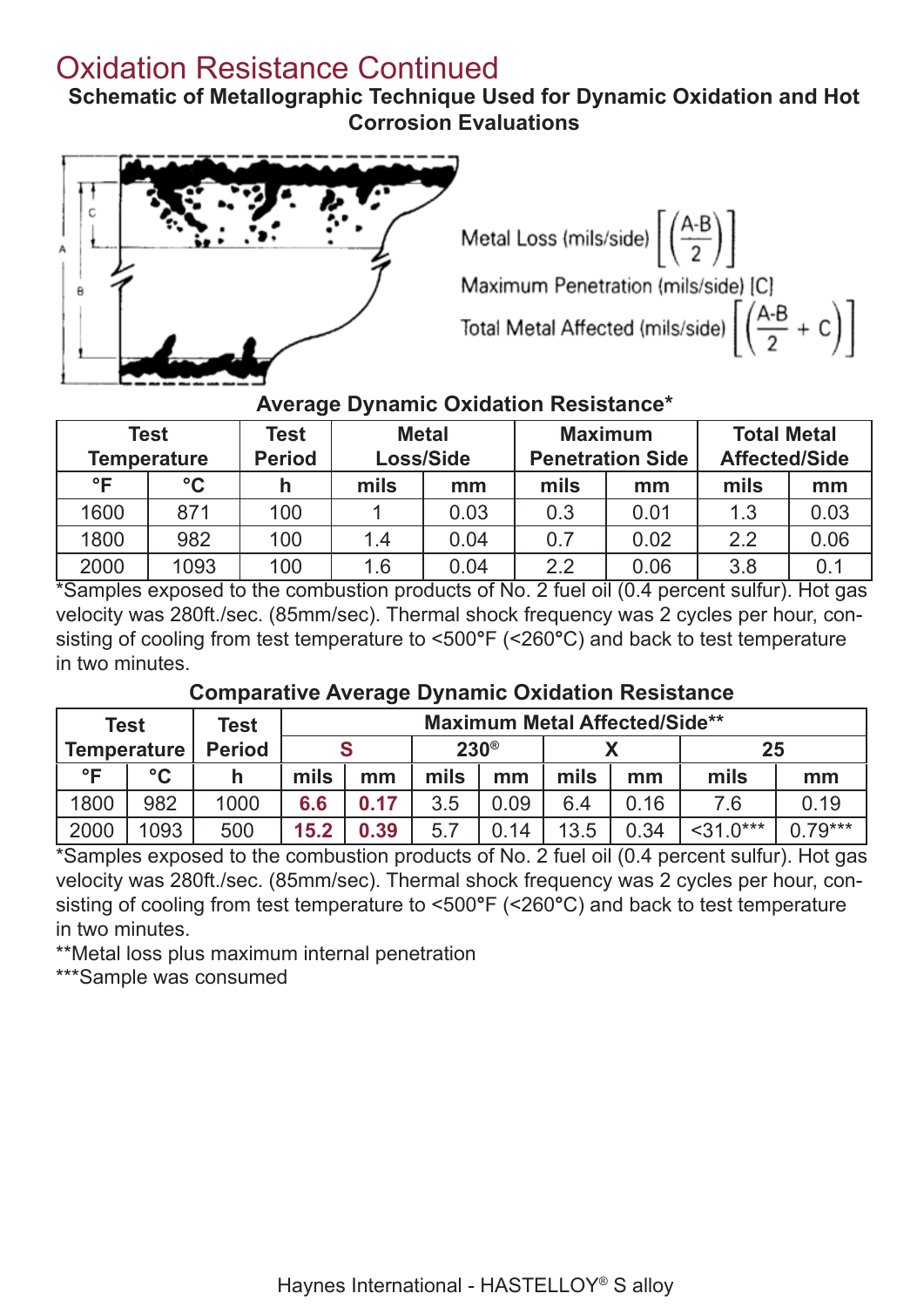## Oxidation Resistance Continued

**Schematic of Metallographic Technique Used for Dynamic Oxidation and Hot Corrosion Evaluations**





#### **Average Dynamic Oxidation Resistance\***

| Test<br><b>Temperature</b> |                 | Test<br><b>Period</b> | <b>Metal</b><br>Loss/Side |      | <b>Maximum</b><br><b>Penetration Side</b> |      | <b>Total Metal</b><br><b>Affected/Side</b> |      |
|----------------------------|-----------------|-----------------------|---------------------------|------|-------------------------------------------|------|--------------------------------------------|------|
| $\circ \mathsf{F}$         | $\rm ^{\circ}C$ |                       | mils                      | mm   | mils                                      | mm   | mils                                       | mm   |
| 1600                       | 871             | 100                   |                           | 0.03 | 0.3                                       | 0.01 | 1.3                                        | 0.03 |
| 1800                       | 982             | 100                   | 1.4                       | 0.04 | 0.7                                       | 0.02 | 2.2                                        | 0.06 |
| 2000                       | 1093            | 100                   | 1.6                       | 0.04 | 2.2                                       | 0.06 | 3.8                                        | 0.1  |

\*Samples exposed to the combustion products of No. 2 fuel oil (0.4 percent sulfur). Hot gas velocity was 280ft./sec. (85mm/sec). Thermal shock frequency was 2 cycles per hour, consisting of cooling from test temperature to <500**°**F (<260**°**C) and back to test temperature in two minutes.

#### **Comparative Average Dynamic Oxidation Resistance**

| <b>Test</b>        |                 | Test          | <b>Maximum Metal Affected/Side**</b> |      |             |      |      |      |           |            |
|--------------------|-----------------|---------------|--------------------------------------|------|-------------|------|------|------|-----------|------------|
| <b>Temperature</b> |                 | <b>Period</b> |                                      |      | $230^\circ$ |      |      | 25   |           |            |
| $^{\circ}$ E       | $\rm ^{\circ}C$ | h             | mils                                 | mm   | mils        | mm   | mils | mm   | mils      | mm         |
| 1800               | 982             | 1000          | 6.6                                  | 0.17 | 3.5         | 0.09 | 6.4  | 0.16 | 7.6       | 0.19       |
| 2000               | 1093            | 500           | 15.2                                 | 0.39 | 5.7         | 0.14 | 13.5 | 0.34 | $31.0***$ | $(179***)$ |

\*Samples exposed to the combustion products of No. 2 fuel oil (0.4 percent sulfur). Hot gas velocity was 280ft./sec. (85mm/sec). Thermal shock frequency was 2 cycles per hour, consisting of cooling from test temperature to <500**°**F (<260**°**C) and back to test temperature in two minutes.

\*\*Metal loss plus maximum internal penetration

\*\*\*Sample was consumed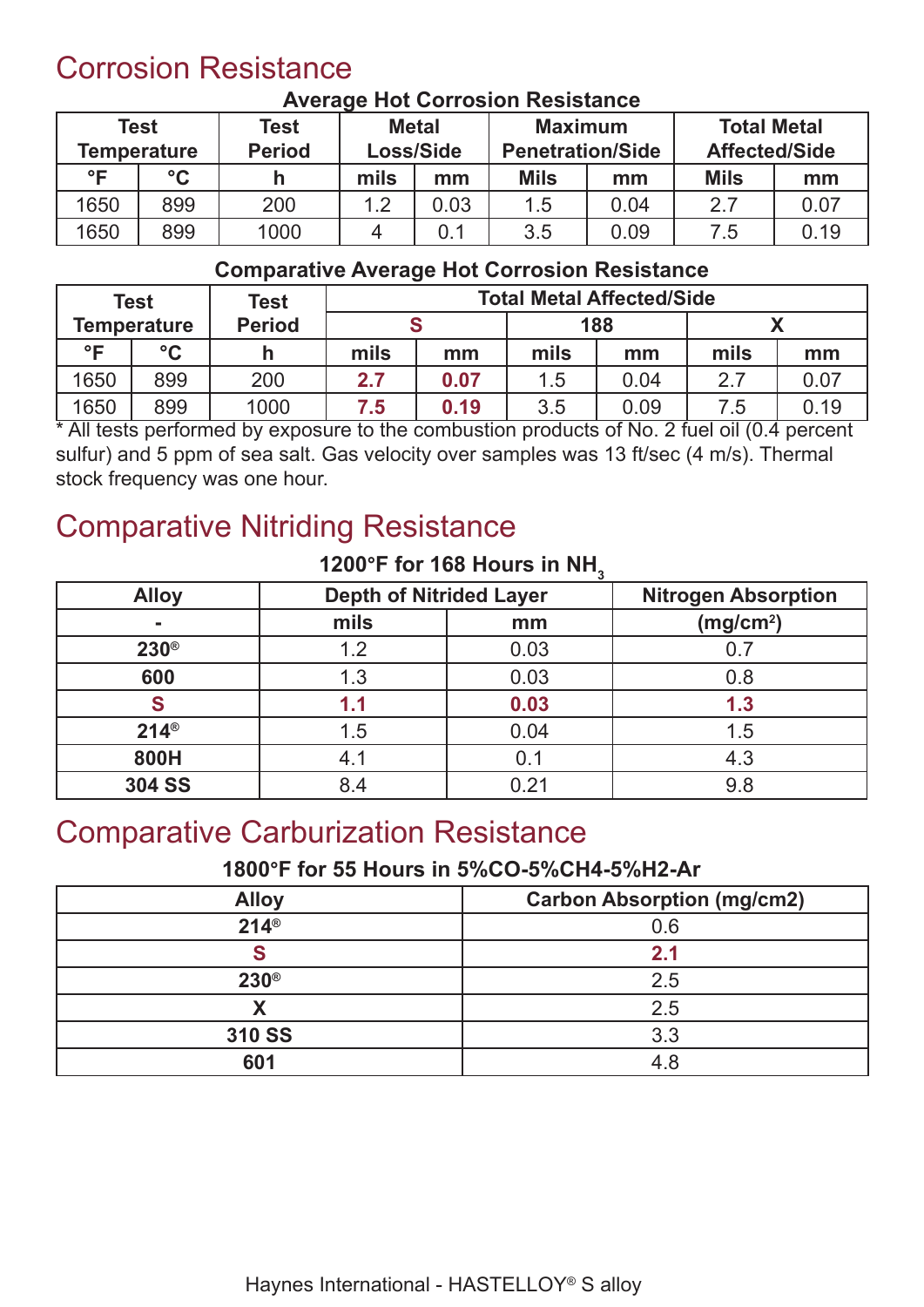## Corrosion Resistance

|              | Test<br><b>Temperature</b> | Test<br><b>Period</b> | <b>Metal</b><br>Loss/Side |      | <b>Maximum</b><br><b>Penetration/Side</b> |      | <b>Total Metal</b><br><b>Affected/Side</b> |      |
|--------------|----------------------------|-----------------------|---------------------------|------|-------------------------------------------|------|--------------------------------------------|------|
| $^{\circ}$ F | $\rm ^{\circ}C$            | h                     | mils                      | mm   | <b>Mils</b>                               | mm   | <b>Mils</b>                                | mm   |
| 1650         | 899                        | 200                   | 1.2                       | 0.03 | 1.5                                       | 0.04 | 2.7                                        | 0.07 |
| 1650         | 899                        | 1000                  |                           | 0.1  | 3.5                                       | 0.09 | 7.5                                        | 0.19 |

#### **Average Hot Corrosion Resistance**

#### **Comparative Average Hot Corrosion Resistance**

|              | <b>Test</b>        | Test          | <b>Total Metal Affected/Side</b> |      |      |      |      |      |
|--------------|--------------------|---------------|----------------------------------|------|------|------|------|------|
|              | <b>Temperature</b> | <b>Period</b> | 188                              |      |      |      |      |      |
| $^{\circ}$ E | $\rm ^{\circ}C$    |               | mils                             | mm   | mils | mm   | mils | mm   |
| 1650         | 899                | 200           | 2.7                              | 0.07 | 1.5  | 0.04 | 2.7  | 0.07 |
| 1650         | 899                | 1000          | 7.5                              | 0.19 | 3.5  | 0.09 | 7.5  | 0.19 |

\* All tests performed by exposure to the combustion products of No. 2 fuel oil (0.4 percent sulfur) and 5 ppm of sea salt. Gas velocity over samples was 13 ft/sec (4 m/s). Thermal stock frequency was one hour.

## Comparative Nitriding Resistance

| 1200 1 101 100 110010 111 1111. |                                |      |                            |  |  |  |  |  |  |
|---------------------------------|--------------------------------|------|----------------------------|--|--|--|--|--|--|
| <b>Alloy</b>                    | <b>Depth of Nitrided Layer</b> |      | <b>Nitrogen Absorption</b> |  |  |  |  |  |  |
| $\blacksquare$                  | mils                           | mm   | (mg/cm <sup>2</sup> )      |  |  |  |  |  |  |
| $230^\circ$                     | 1.2                            | 0.03 |                            |  |  |  |  |  |  |
| 600                             | 1.3                            | 0.03 | 0.8                        |  |  |  |  |  |  |
|                                 | 1.1                            | 0.03 | 1.3                        |  |  |  |  |  |  |
| $214^{\circ}$                   | 1.5                            | 0.04 | 1.5                        |  |  |  |  |  |  |
| 800H                            | 4.1                            | 0.1  | 4.3                        |  |  |  |  |  |  |
| <b>304 SS</b>                   | 8.4                            | 0.21 | 9.8                        |  |  |  |  |  |  |

#### **1200°F for 168 Hours in NH<sup>3</sup>**

#### Comparative Carburization Resistance

#### **1800°F for 55 Hours in 5%CO-5%CH4-5%H2-Ar**

| <b>Alloy</b>  | <b>Carbon Absorption (mg/cm2)</b> |
|---------------|-----------------------------------|
| $214^{\circ}$ | 0.6                               |
|               | 2.1                               |
| $230^\circ$   | 2.5                               |
| V             | 2.5                               |
| 310 SS        | 3.3                               |
| 601           | 4.8                               |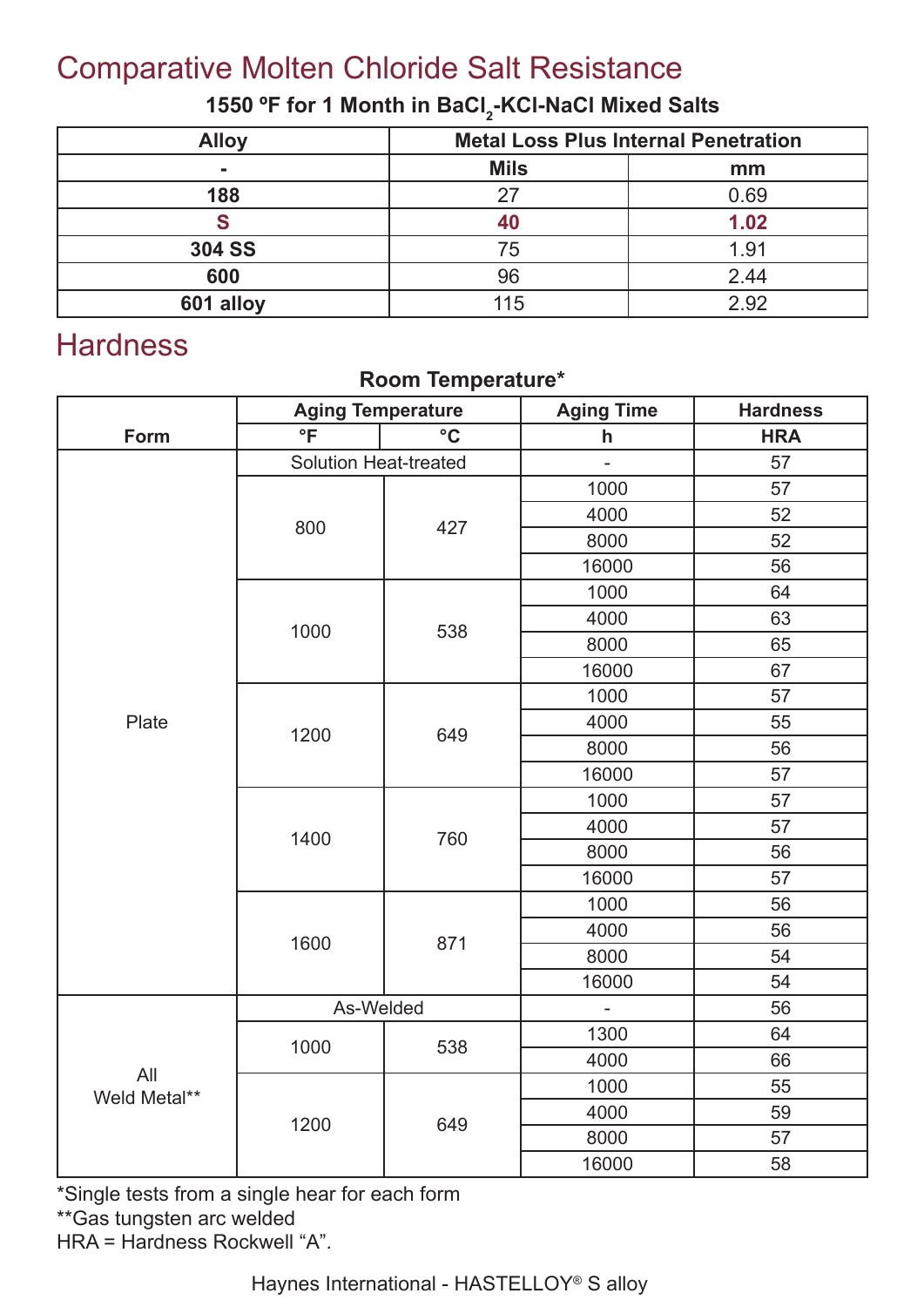## Comparative Molten Chloride Salt Resistance

#### 1550 °F for 1 Month in BaCl<sub>2</sub>-KCl-NaCl Mixed Salts

| <b>Alloy</b>  | <b>Metal Loss Plus Internal Penetration</b> |      |  |
|---------------|---------------------------------------------|------|--|
| -             | <b>Mils</b>                                 | mm   |  |
| 188           | 27                                          | 0.69 |  |
|               |                                             | 1.02 |  |
| <b>304 SS</b> | 75                                          | 1.91 |  |
| 600           | 96                                          | 2.44 |  |
| 601 alloy     | 115                                         | 2.92 |  |

## **Hardness**

#### **Room Temperature\***

|                     | <b>Aging Temperature</b>     |                 | <b>Aging Time</b> | <b>Hardness</b> |
|---------------------|------------------------------|-----------------|-------------------|-----------------|
| Form                | $\overline{\ }$              | $\rm ^{\circ}C$ | $\mathsf{h}$      | <b>HRA</b>      |
|                     | <b>Solution Heat-treated</b> |                 | $\overline{a}$    | 57              |
|                     |                              |                 | 1000              | 57              |
|                     |                              |                 | 4000              | 52              |
|                     | 800                          | 427             | 8000              | 52              |
|                     |                              |                 | 16000             | 56              |
|                     |                              |                 | 1000              | 64              |
|                     |                              |                 | 4000              | 63              |
|                     | 1000                         | 538             | 8000              | 65              |
|                     |                              |                 | 16000             | 67              |
|                     |                              |                 | 1000              | 57              |
| Plate               | 1200                         | 649             | 4000              | 55              |
|                     |                              |                 | 8000              | 56              |
|                     |                              |                 | 16000             | 57              |
|                     | 1400                         |                 | 1000              | 57              |
|                     |                              | 760             | 4000              | 57              |
|                     |                              |                 | 8000              | 56              |
|                     |                              |                 | 16000             | 57              |
|                     |                              |                 | 1000              | 56              |
|                     | 1600                         | 871             | 4000              | 56              |
|                     |                              |                 | 8000              | 54              |
|                     |                              |                 | 16000             | 54              |
|                     | As-Welded                    |                 | $\blacksquare$    | 56              |
|                     | 1000                         | 538             | 1300              | 64              |
|                     |                              |                 | 4000              | 66              |
| All<br>Weld Metal** |                              |                 | 1000              | 55              |
|                     | 1200                         | 649             | 4000              | 59              |
|                     |                              |                 | 8000              | 57              |
|                     |                              |                 | 16000             | 58              |

\*Single tests from a single hear for each form

\*\*Gas tungsten arc welded

HRA = Hardness Rockwell "A".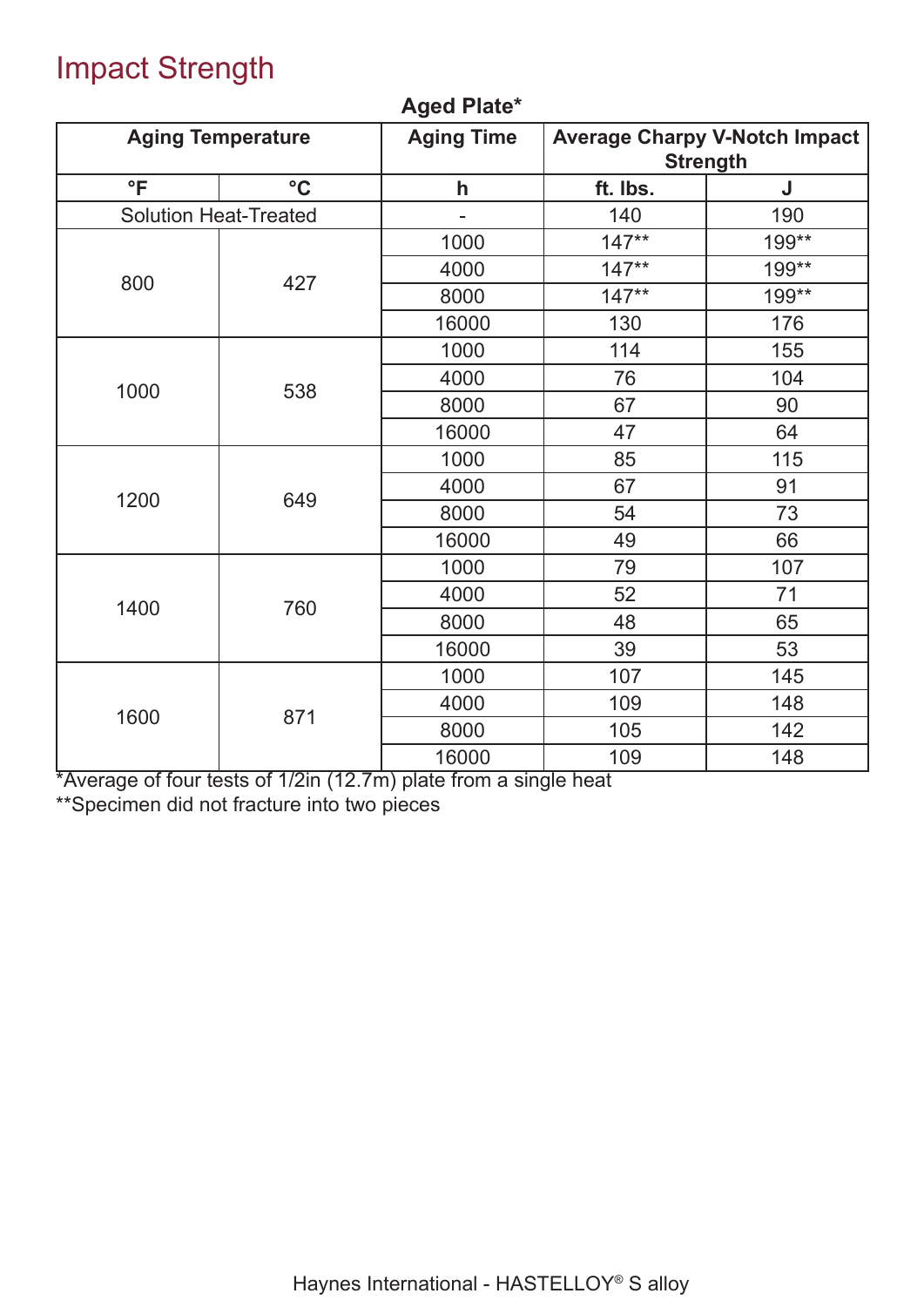## Impact Strength

|                 | <b>Aging Temperature</b>             | <b>Aging Time</b> | <b>Average Charpy V-Notch Impact</b><br><b>Strength</b> |       |  |  |
|-----------------|--------------------------------------|-------------------|---------------------------------------------------------|-------|--|--|
| $\overline{\ }$ | $\rm ^{\circ}C$                      |                   | ft. Ibs.                                                | J     |  |  |
|                 | <b>Solution Heat-Treated</b>         | $\overline{a}$    | 140                                                     | 190   |  |  |
|                 |                                      | 1000              | $147**$                                                 | 199** |  |  |
| 800             | 427                                  | 4000              | $147**$                                                 | 199** |  |  |
|                 |                                      | 8000              | $147**$                                                 | 199** |  |  |
|                 |                                      | 16000             | 130                                                     | 176   |  |  |
|                 |                                      | 1000              | 114                                                     | 155   |  |  |
| 1000            |                                      | 4000              | 76                                                      | 104   |  |  |
|                 | 538                                  | 8000              | 67                                                      | 90    |  |  |
|                 |                                      | 16000             | 47                                                      | 64    |  |  |
|                 |                                      | 1000              | 85                                                      | 115   |  |  |
| 1200            |                                      | 4000              | 67                                                      | 91    |  |  |
|                 | 649                                  | 8000              | 54                                                      | 73    |  |  |
|                 |                                      | 16000             | 49                                                      | 66    |  |  |
|                 |                                      | 1000              | 79                                                      | 107   |  |  |
| 1400            | 760                                  | 4000              | 52                                                      | 71    |  |  |
|                 |                                      | 8000              | 48                                                      | 65    |  |  |
|                 |                                      | 16000             | 39                                                      | 53    |  |  |
|                 |                                      | 1000              | 107                                                     | 145   |  |  |
| 1600            | 871                                  | 4000              | 109                                                     | 148   |  |  |
|                 |                                      | 8000              | 105                                                     | 142   |  |  |
|                 | $\overline{110}$<br>$\overline{110}$ | 16000             | 109                                                     | 148   |  |  |

#### **Aged Plate\***

\*Average of four tests of 1/2in (12.7m) plate from a single heat \*\*Specimen did not fracture into two pieces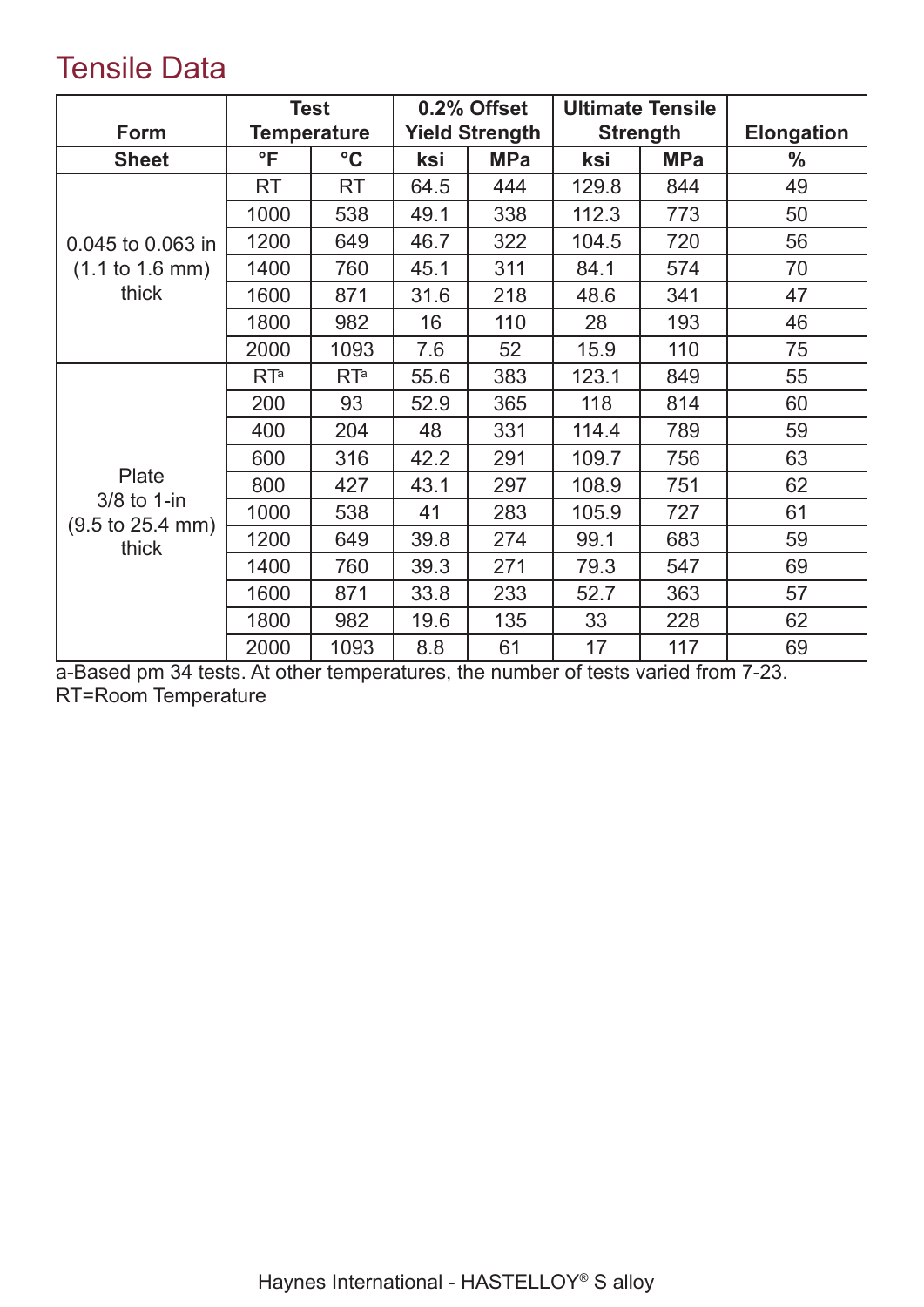## Tensile Data

|                                                    | <b>Test</b>        |                 |      | 0.2% Offset           |       | <b>Ultimate Tensile</b> |                   |
|----------------------------------------------------|--------------------|-----------------|------|-----------------------|-------|-------------------------|-------------------|
| Form                                               | <b>Temperature</b> |                 |      | <b>Yield Strength</b> |       | <b>Strength</b>         | <b>Elongation</b> |
| <b>Sheet</b>                                       | $\mathsf{P}$       | $\rm ^{\circ}C$ | ksi  | <b>MPa</b>            | ksi   | <b>MPa</b>              | $\frac{0}{0}$     |
|                                                    | <b>RT</b>          | RT              | 64.5 | 444                   | 129.8 | 844                     | 49                |
|                                                    | 1000               | 538             | 49.1 | 338                   | 112.3 | 773                     | 50                |
| 0.045 to 0.063 in                                  | 1200               | 649             | 46.7 | 322                   | 104.5 | 720                     | 56                |
| $(1.1 \text{ to } 1.6 \text{ mm})$                 | 1400               | 760             | 45.1 | 311                   | 84.1  | 574                     | 70                |
| thick                                              | 1600               | 871             | 31.6 | 218                   | 48.6  | 341                     | 47                |
|                                                    | 1800               | 982             | 16   | 110                   | 28    | 193                     | 46                |
|                                                    | 2000               | 1093            | 7.6  | 52                    | 15.9  | 110                     | 75                |
|                                                    | RT <sup>a</sup>    | RT <sup>a</sup> | 55.6 | 383                   | 123.1 | 849                     | 55                |
|                                                    | 200                | 93              | 52.9 | 365                   | 118   | 814                     | 60                |
|                                                    | 400                | 204             | 48   | 331                   | 114.4 | 789                     | 59                |
|                                                    | 600                | 316             | 42.2 | 291                   | 109.7 | 756                     | 63                |
| Plate                                              | 800                | 427             | 43.1 | 297                   | 108.9 | 751                     | 62                |
| 3/8 to 1-in<br>$(9.5 \text{ to } 25.4 \text{ mm})$ | 1000               | 538             | 41   | 283                   | 105.9 | 727                     | 61                |
| thick                                              | 1200               | 649             | 39.8 | 274                   | 99.1  | 683                     | 59                |
|                                                    | 1400               | 760             | 39.3 | 271                   | 79.3  | 547                     | 69                |
|                                                    | 1600               | 871             | 33.8 | 233                   | 52.7  | 363                     | 57                |
|                                                    | 1800               | 982             | 19.6 | 135                   | 33    | 228                     | 62                |
|                                                    | 2000               | 1093            | 8.8  | 61                    | 17    | 117                     | 69                |

a-Based pm 34 tests. At other temperatures, the number of tests varied from 7-23. RT=Room Temperature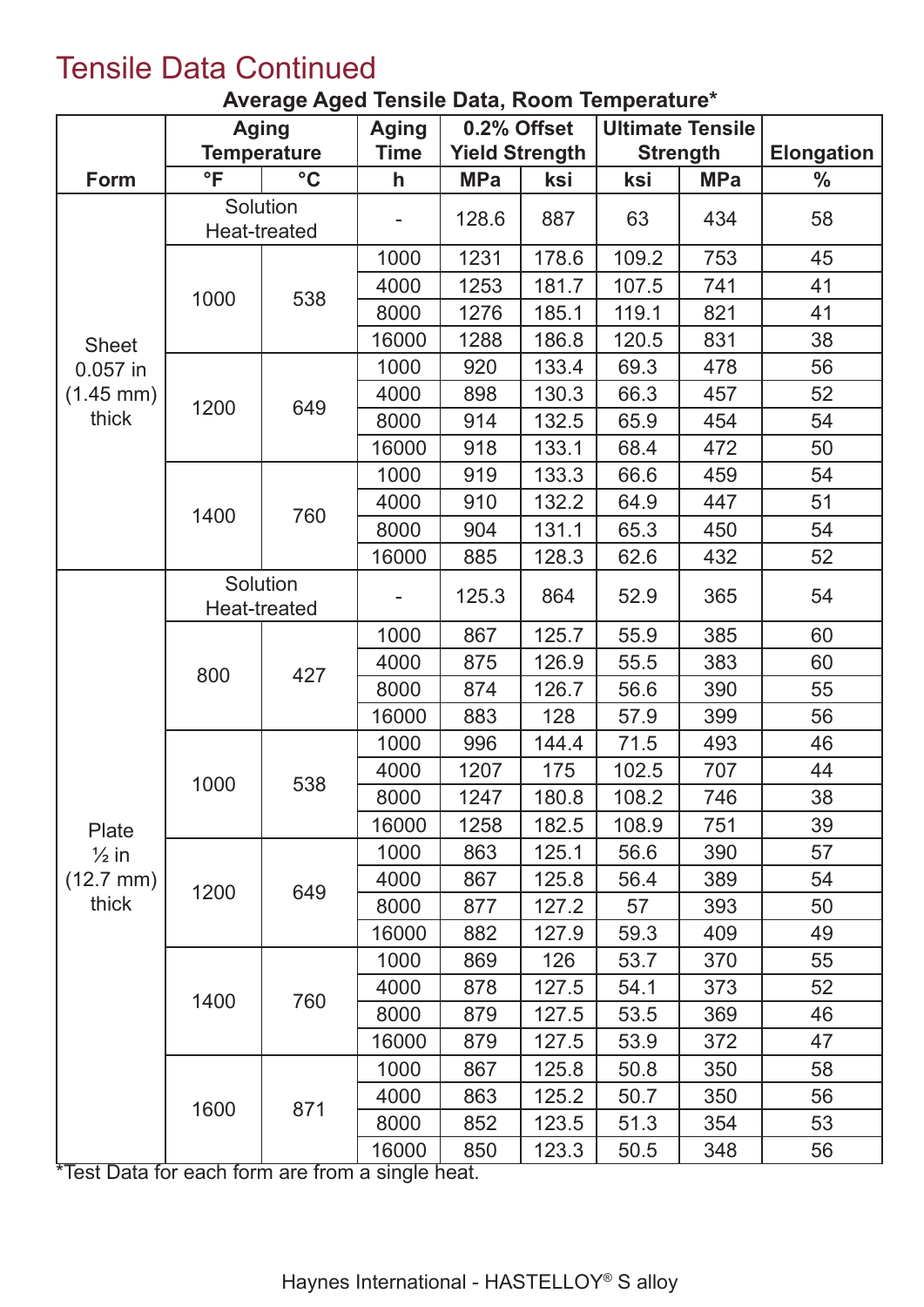## Tensile Data Continued

|  |  |  |  | Average Aged Tensile Data, Room Temperature* |
|--|--|--|--|----------------------------------------------|
|--|--|--|--|----------------------------------------------|

|                                                                    | <b>Aging</b>             |                          | <b>Aging</b> |            | 0.2% Offset           |       | <b>Ultimate Tensile</b> |                   |
|--------------------------------------------------------------------|--------------------------|--------------------------|--------------|------------|-----------------------|-------|-------------------------|-------------------|
|                                                                    | <b>Temperature</b>       |                          | Time         |            | <b>Yield Strength</b> |       | <b>Strength</b>         | <b>Elongation</b> |
| Form                                                               | $\mathsf{P}$             | $\rm ^{\circ}C$          | $\mathsf{h}$ | <b>MPa</b> | ksi                   | ksi   | <b>MPa</b>              | $\frac{0}{0}$     |
|                                                                    |                          | Solution<br>Heat-treated |              | 128.6      | 887                   | 63    | 434                     | 58                |
| <b>Sheet</b>                                                       |                          |                          | 1000         | 1231       | 178.6                 | 109.2 | 753                     | 45                |
|                                                                    |                          |                          | 4000         | 1253       | 181.7                 | 107.5 | 741                     | 41                |
|                                                                    | 1000                     | 538                      | 8000         | 1276       | 185.1                 | 119.1 | 821                     | 41                |
|                                                                    |                          |                          | 16000        | 1288       | 186.8                 | 120.5 | 831                     | 38                |
| $0.057$ in                                                         |                          |                          | 1000         | 920        | 133.4                 | 69.3  | 478                     | 56                |
| $(1.45 \text{ mm})$                                                |                          |                          | 4000         | 898        | 130.3                 | 66.3  | 457                     | 52                |
| thick                                                              | 1200                     | 649                      | 8000         | 914        | 132.5                 | 65.9  | 454                     | 54                |
|                                                                    |                          |                          | 16000        | 918        | 133.1                 | 68.4  | 472                     | 50                |
|                                                                    |                          |                          | 1000         | 919        | 133.3                 | 66.6  | 459                     | 54                |
|                                                                    |                          |                          | 4000         | 910        | 132.2                 | 64.9  | 447                     | 51                |
|                                                                    | 1400                     | 760                      | 8000         | 904        | 131.1                 | 65.3  | 450                     | 54                |
|                                                                    |                          |                          | 16000        | 885        | 128.3                 | 62.6  | 432                     | 52                |
|                                                                    | Solution<br>Heat-treated |                          |              | 125.3      | 864                   | 52.9  | 365                     | 54                |
|                                                                    | 800                      | 427                      | 1000         | 867        | 125.7                 | 55.9  | 385                     | 60                |
|                                                                    |                          |                          | 4000         | 875        | 126.9                 | 55.5  | 383                     | 60                |
|                                                                    |                          |                          | 8000         | 874        | 126.7                 | 56.6  | 390                     | 55                |
|                                                                    |                          |                          | 16000        | 883        | 128                   | 57.9  | 399                     | 56                |
|                                                                    |                          | 538                      | 1000         | 996        | 144.4                 | 71.5  | 493                     | 46                |
|                                                                    |                          |                          | 4000         | 1207       | 175                   | 102.5 | 707                     | 44                |
|                                                                    | 1000                     |                          | 8000         | 1247       | 180.8                 | 108.2 | 746                     | 38                |
| Plate                                                              |                          |                          | 16000        | 1258       | 182.5                 | 108.9 | 751                     | 39                |
| $\frac{1}{2}$ in                                                   |                          |                          | 1000         | 863        | 125.1                 | 56.6  | 390                     | 57                |
| $(12.7 \text{ mm})$                                                | 1200                     | 649                      | 4000         | 867        | 125.8                 | 56.4  | 389                     | 54                |
| thick                                                              |                          |                          | 8000         | 877        | 127.2                 | 57    | 393                     | 50                |
|                                                                    |                          |                          | 16000        | 882        | 127.9                 | 59.3  | 409                     | 49                |
|                                                                    |                          |                          | 1000         | 869        | 126                   | 53.7  | 370                     | 55                |
|                                                                    | 1400                     | 760                      | 4000         | 878        | 127.5                 | 54.1  | 373                     | 52                |
|                                                                    |                          |                          | 8000         | 879        | 127.5                 | 53.5  | 369                     | 46                |
|                                                                    |                          |                          | 16000        | 879        | 127.5                 | 53.9  | 372                     | 47                |
|                                                                    |                          |                          | 1000         | 867        | 125.8                 | 50.8  | 350                     | 58                |
|                                                                    | 1600                     | 871                      | 4000         | 863        | 125.2                 | 50.7  | 350                     | 56                |
|                                                                    |                          |                          | 8000         | 852        | 123.5                 | 51.3  | 354                     | 53                |
| $\overline{\text{AT}_{\text{O}} + \text{D}_{\text{O}} + \text{D}}$ | for opph form are from   |                          | 16000        | 850        | 123.3                 | 50.5  | 348                     | 56                |

Test Data for each form are from a single heat.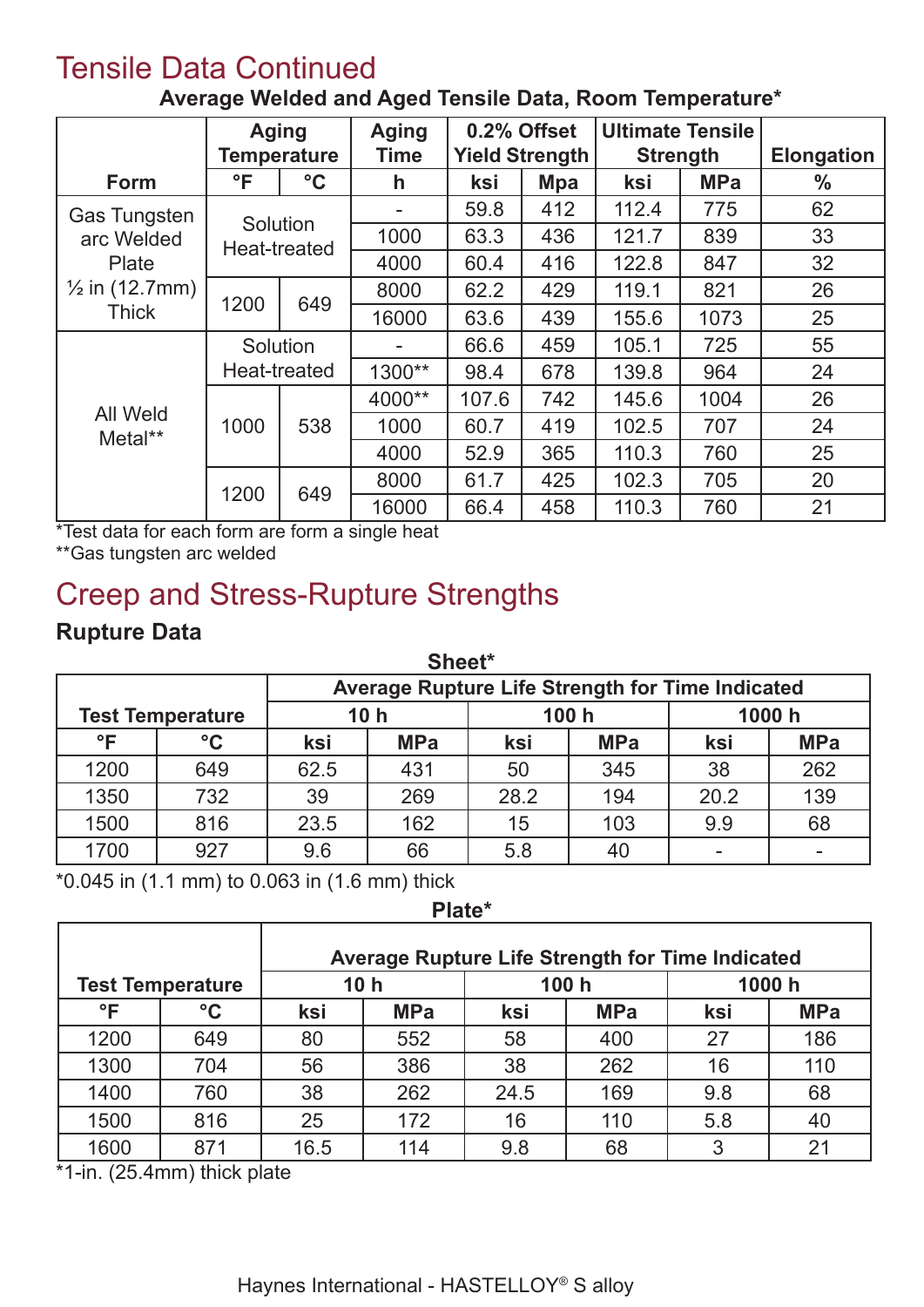## Tensile Data Continued

|                            | <b>Aging</b><br><b>Temperature</b> |                 | <b>Aging</b><br><b>Time</b> | 0.2% Offset<br><b>Yield Strength</b> |            | <b>Ultimate Tensile</b> |            |                   |
|----------------------------|------------------------------------|-----------------|-----------------------------|--------------------------------------|------------|-------------------------|------------|-------------------|
|                            |                                    |                 |                             |                                      |            | <b>Strength</b>         |            | <b>Elongation</b> |
| <b>Form</b>                | °F                                 | $\rm ^{\circ}C$ | h                           | ksi                                  | <b>Mpa</b> | ksi                     | <b>MPa</b> | $\%$              |
| <b>Gas Tungsten</b>        |                                    |                 |                             | 59.8                                 | 412        | 112.4                   | 775        | 62                |
| arc Welded                 | Solution<br>Heat-treated           |                 | 1000                        | 63.3                                 | 436        | 121.7                   | 839        | 33                |
| Plate                      |                                    |                 | 4000                        | 60.4                                 | 416        | 122.8                   | 847        | 32                |
| $\frac{1}{2}$ in (12.7mm)  |                                    | 649             | 8000                        | 62.2                                 | 429        | 119.1                   | 821        | 26                |
| <b>Thick</b>               | 1200                               |                 | 16000                       | 63.6                                 | 439        | 155.6                   | 1073       | 25                |
|                            | Solution                           |                 |                             | 66.6                                 | 459        | 105.1                   | 725        | 55                |
|                            | Heat-treated                       |                 | 1300**                      | 98.4                                 | 678        | 139.8                   | 964        | 24                |
|                            |                                    | 538             | 4000**                      | 107.6                                | 742        | 145.6                   | 1004       | 26                |
| <b>All Weld</b><br>Metal** | 1000                               |                 | 1000                        | 60.7                                 | 419        | 102.5                   | 707        | 24                |
|                            |                                    |                 | 4000                        | 52.9                                 | 365        | 110.3                   | 760        | 25                |
|                            |                                    | 649             | 8000                        | 61.7                                 | 425        | 102.3                   | 705        | 20                |
|                            | 1200                               |                 | 16000                       | 66.4                                 | 458        | 110.3                   | 760        | 21                |

**Average Welded and Aged Tensile Data, Room Temperature\***

\*Test data for each form are form a single heat

\*\*Gas tungsten arc welded

# Creep and Stress-Rupture Strengths

#### **Rupture Data**

| Sheet*       |                                                         |      |                          |      |            |      |            |  |  |  |  |  |
|--------------|---------------------------------------------------------|------|--------------------------|------|------------|------|------------|--|--|--|--|--|
|              | <b>Average Rupture Life Strength for Time Indicated</b> |      |                          |      |            |      |            |  |  |  |  |  |
|              | <b>Test Temperature</b>                                 |      | 10 <sub>h</sub><br>100 h |      |            |      | 1000 h     |  |  |  |  |  |
| $\mathsf{P}$ | $\rm ^{\circ}C$                                         | ksi  | <b>MPa</b>               | ksi  | <b>MPa</b> | ksi  | <b>MPa</b> |  |  |  |  |  |
| 1200         | 649                                                     | 62.5 | 431                      | 50   | 345        | 38   | 262        |  |  |  |  |  |
| 1350         | 732                                                     | 39   | 269                      | 28.2 | 194        | 20.2 | 139        |  |  |  |  |  |
| 1500         | 816                                                     | 23.5 | 162                      | 15   | 103        | 9.9  | 68         |  |  |  |  |  |
| 1700         | 927                                                     | 9.6  | 66                       | 5.8  | 40         |      |            |  |  |  |  |  |

\*0.045 in (1.1 mm) to 0.063 in (1.6 mm) thick

#### **Plate\***

|      |                         | <b>Average Rupture Life Strength for Time Indicated</b> |                 |      |                 |     |            |  |  |
|------|-------------------------|---------------------------------------------------------|-----------------|------|-----------------|-----|------------|--|--|
|      | <b>Test Temperature</b> |                                                         | 10 <sub>h</sub> |      | 100 h<br>1000 h |     |            |  |  |
| °F   | $\rm ^{\circ}C$         | ksi                                                     | <b>MPa</b>      | ksi  | <b>MPa</b>      | ksi | <b>MPa</b> |  |  |
| 1200 | 649                     | 80                                                      | 552             | 58   | 400             | 27  | 186        |  |  |
| 1300 | 704                     | 56                                                      | 386             | 38   | 262             | 16  | 110        |  |  |
| 1400 | 760                     | 38                                                      | 262             | 24.5 | 169             | 9.8 | 68         |  |  |
| 1500 | 816                     | 25                                                      | 172             | 16   | 110             | 5.8 | 40         |  |  |
| 1600 | 871                     | 16.5                                                    | 114             | 9.8  | 68              | 3   | 21         |  |  |

\*1-in. (25.4mm) thick plate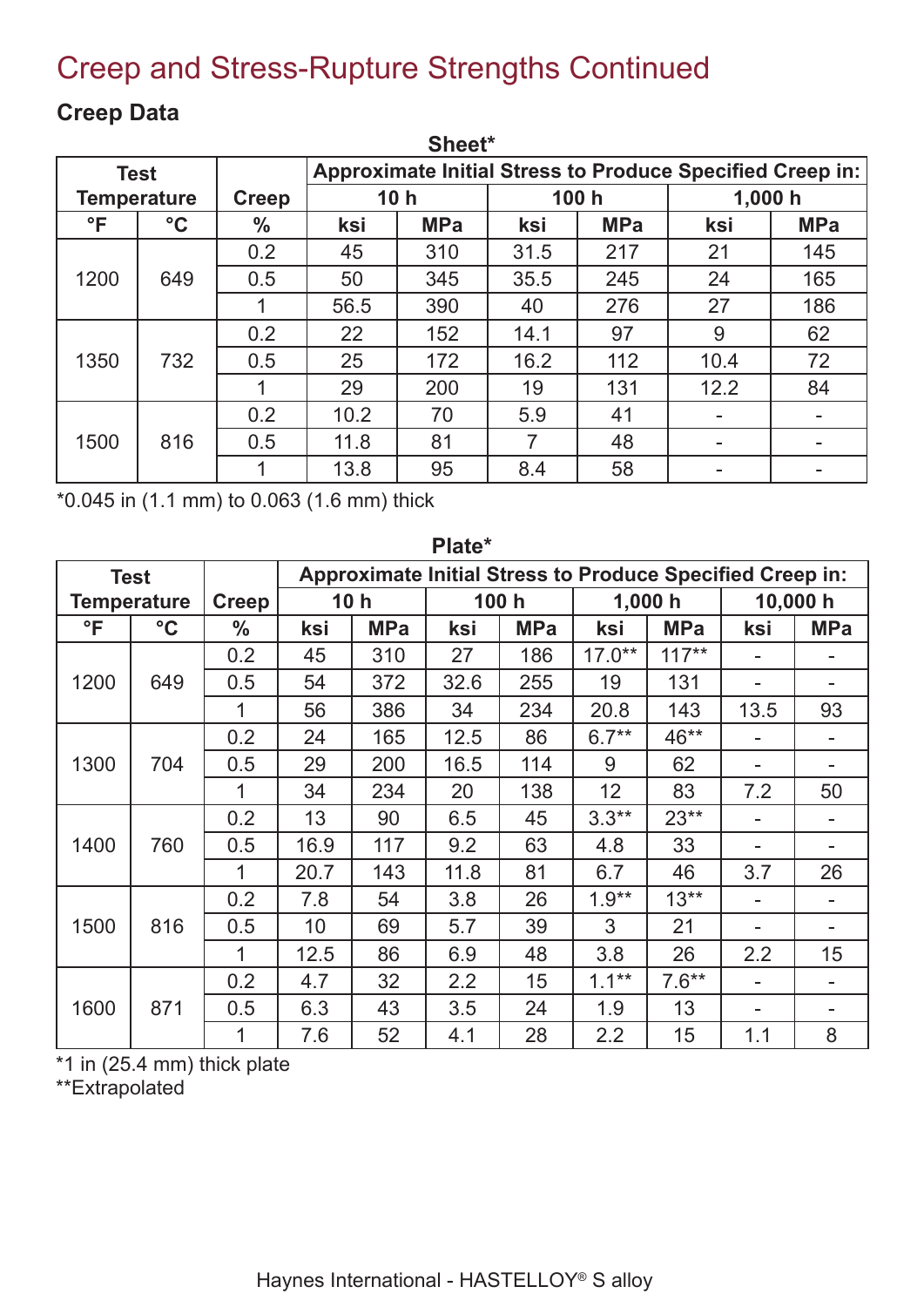## Creep and Stress-Rupture Strengths Continued

| Sheet*       |                    |               |      |                                                                  |      |            |         |            |  |  |  |
|--------------|--------------------|---------------|------|------------------------------------------------------------------|------|------------|---------|------------|--|--|--|
|              | <b>Test</b>        |               |      | <b>Approximate Initial Stress to Produce Specified Creep in:</b> |      |            |         |            |  |  |  |
|              | <b>Temperature</b> | <b>Creep</b>  |      | 10 <sub>h</sub>                                                  |      | 100h       | 1,000 h |            |  |  |  |
| $\mathsf{P}$ | $\rm ^{\circ}C$    | $\frac{0}{0}$ | ksi  | <b>MPa</b>                                                       | ksi  | <b>MPa</b> | ksi     | <b>MPa</b> |  |  |  |
|              |                    | 0.2           | 45   | 310                                                              | 31.5 | 217        | 21      | 145        |  |  |  |
| 1200         | 649                | 0.5           | 50   | 345                                                              | 35.5 | 245        | 24      | 165        |  |  |  |
|              |                    | 1             | 56.5 | 390                                                              | 40   | 276        | 27      | 186        |  |  |  |
|              |                    | 0.2           | 22   | 152                                                              | 14.1 | 97         | 9       | 62         |  |  |  |
| 1350         | 732                | 0.5           | 25   | 172                                                              | 16.2 | 112        | 10.4    | 72         |  |  |  |
|              |                    |               | 29   | 200                                                              | 19   | 131        | 12.2    | 84         |  |  |  |
|              |                    | 0.2           | 10.2 | 70                                                               | 5.9  | 41         |         |            |  |  |  |
| 1500         | 816                | 0.5           | 11.8 | 81                                                               |      | 48         |         | -          |  |  |  |
|              |                    |               | 13.8 | 95                                                               | 8.4  | 58         |         |            |  |  |  |

#### **Creep Data**

\*0.045 in (1.1 mm) to 0.063 (1.6 mm) thick

|              | г гасс          |               |      |                 |      |            |                                                                  |            |                          |            |
|--------------|-----------------|---------------|------|-----------------|------|------------|------------------------------------------------------------------|------------|--------------------------|------------|
|              | <b>Test</b>     |               |      |                 |      |            | <b>Approximate Initial Stress to Produce Specified Creep in:</b> |            |                          |            |
|              | Temperature     | <b>Creep</b>  |      | 10 <sub>h</sub> |      | 100 h      |                                                                  | 1,000h     | 10,000 h                 |            |
| $\mathsf{P}$ | $\rm ^{\circ}C$ | $\frac{0}{0}$ | ksi  | <b>MPa</b>      | ksi  | <b>MPa</b> | ksi                                                              | <b>MPa</b> | ksi                      | <b>MPa</b> |
|              |                 | 0.2           | 45   | 310             | 27   | 186        | $17.0**$                                                         | $117***$   |                          |            |
| 1200         | 649             | 0.5           | 54   | 372             | 32.6 | 255        | 19                                                               | 131        |                          |            |
|              |                 | 1             | 56   | 386             | 34   | 234        | 20.8                                                             | 143        | 13.5                     | 93         |
|              |                 | 0.2           | 24   | 165             | 12.5 | 86         | $6.7**$                                                          | 46**       | $\overline{\phantom{a}}$ |            |
| 1300         | 704             | 0.5           | 29   | 200             | 16.5 | 114        | 9                                                                | 62         |                          |            |
|              |                 | 1             | 34   | 234             | 20   | 138        | 12                                                               | 83         | 7.2                      | 50         |
|              |                 | 0.2           | 13   | 90              | 6.5  | 45         | $3.3**$                                                          | $23**$     |                          |            |
| 1400         | 760             | 0.5           | 16.9 | 117             | 9.2  | 63         | 4.8                                                              | 33         |                          |            |
|              |                 | 1             | 20.7 | 143             | 11.8 | 81         | 6.7                                                              | 46         | 3.7                      | 26         |
|              |                 | 0.2           | 7.8  | 54              | 3.8  | 26         | $1.9**$                                                          | $13**$     |                          |            |
| 1500         | 816             | 0.5           | 10   | 69              | 5.7  | 39         | 3                                                                | 21         |                          |            |
|              |                 | 1             | 12.5 | 86              | 6.9  | 48         | 3.8                                                              | 26         | 2.2                      | 15         |
|              |                 | 0.2           | 4.7  | 32              | 2.2  | 15         | $1.1***$                                                         | $7.6***$   |                          |            |
| 1600         | 871             | 0.5           | 6.3  | 43              | 3.5  | 24         | 1.9                                                              | 13         |                          |            |
|              |                 | 1             | 7.6  | 52              | 4.1  | 28         | 2.2                                                              | 15         | 1.1                      | 8          |

**Plate\***

\*1 in (25.4 mm) thick plate

\*\*Extrapolated